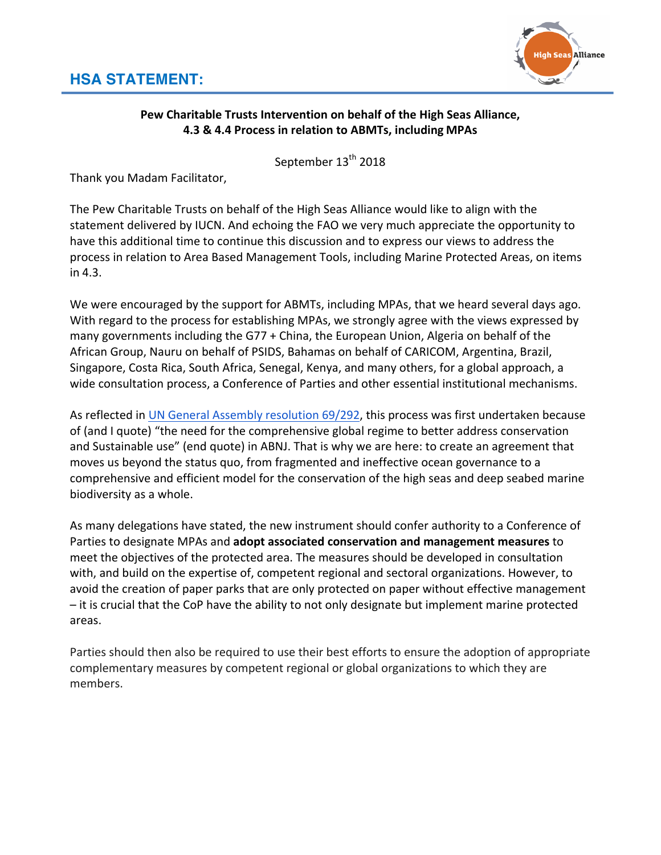

## Pew Charitable Trusts Intervention on behalf of the High Seas Alliance, **4.3 & 4.4 Process in relation to ABMTs, including MPAs**

September 13<sup>th</sup> 2018

Thank you Madam Facilitator,

The Pew Charitable Trusts on behalf of the High Seas Alliance would like to align with the statement delivered by IUCN. And echoing the FAO we very much appreciate the opportunity to have this additional time to continue this discussion and to express our views to address the process in relation to Area Based Management Tools, including Marine Protected Areas, on items in 4.3.

We were encouraged by the support for ABMTs, including MPAs, that we heard several days ago. With regard to the process for establishing MPAs, we strongly agree with the views expressed by many governments including the G77 + China, the European Union, Algeria on behalf of the African Group, Nauru on behalf of PSIDS, Bahamas on behalf of CARICOM, Argentina, Brazil, Singapore, Costa Rica, South Africa, Senegal, Kenya, and many others, for a global approach, a wide consultation process, a Conference of Parties and other essential institutional mechanisms.

As reflected in UN General Assembly resolution 69/292, this process was first undertaken because of (and I quote) "the need for the comprehensive global regime to better address conservation and Sustainable use" (end quote) in ABNJ. That is why we are here: to create an agreement that moves us beyond the status quo, from fragmented and ineffective ocean governance to a comprehensive and efficient model for the conservation of the high seas and deep seabed marine biodiversity as a whole.

As many delegations have stated, the new instrument should confer authority to a Conference of Parties to designate MPAs and **adopt associated conservation and management measures** to meet the objectives of the protected area. The measures should be developed in consultation with, and build on the expertise of, competent regional and sectoral organizations. However, to avoid the creation of paper parks that are only protected on paper without effective management  $-$  it is crucial that the CoP have the ability to not only designate but implement marine protected areas.

Parties should then also be required to use their best efforts to ensure the adoption of appropriate complementary measures by competent regional or global organizations to which they are members.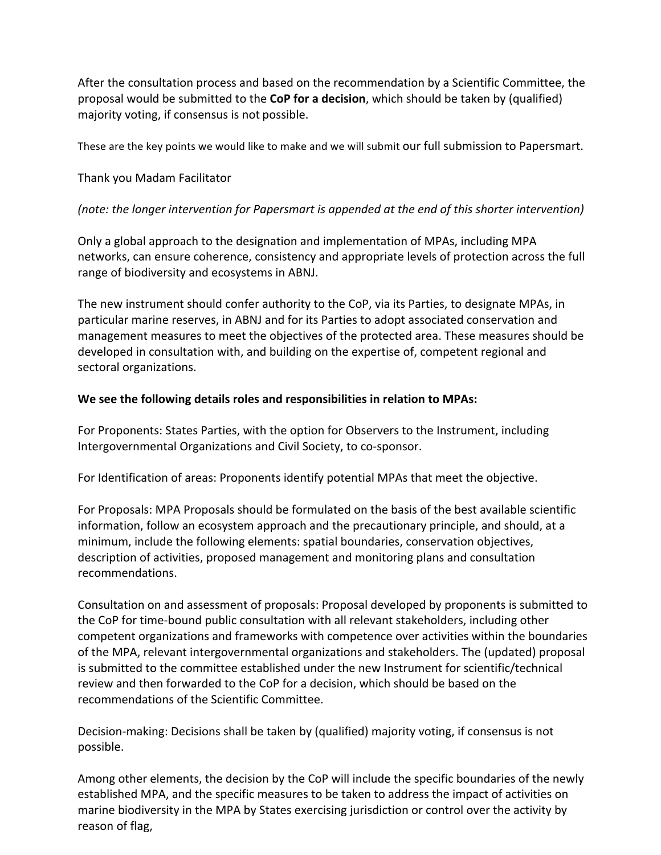After the consultation process and based on the recommendation by a Scientific Committee, the proposal would be submitted to the **CoP for a decision**, which should be taken by (qualified) majority voting, if consensus is not possible.

These are the key points we would like to make and we will submit our full submission to Papersmart.

### Thank you Madam Facilitator

#### *(note: the longer intervention for Papersmart is appended at the end of this shorter intervention)*

Only a global approach to the designation and implementation of MPAs, including MPA networks, can ensure coherence, consistency and appropriate levels of protection across the full range of biodiversity and ecosystems in ABNJ.

The new instrument should confer authority to the CoP, via its Parties, to designate MPAs, in particular marine reserves, in ABNJ and for its Parties to adopt associated conservation and management measures to meet the objectives of the protected area. These measures should be developed in consultation with, and building on the expertise of, competent regional and sectoral organizations.

#### We see the following details roles and responsibilities in relation to MPAs:

For Proponents: States Parties, with the option for Observers to the Instrument, including Intergovernmental Organizations and Civil Society, to co-sponsor.

For Identification of areas: Proponents identify potential MPAs that meet the objective.

For Proposals: MPA Proposals should be formulated on the basis of the best available scientific information, follow an ecosystem approach and the precautionary principle, and should, at a minimum, include the following elements: spatial boundaries, conservation objectives, description of activities, proposed management and monitoring plans and consultation recommendations.

Consultation on and assessment of proposals: Proposal developed by proponents is submitted to the CoP for time-bound public consultation with all relevant stakeholders, including other competent organizations and frameworks with competence over activities within the boundaries of the MPA, relevant intergovernmental organizations and stakeholders. The (updated) proposal is submitted to the committee established under the new Instrument for scientific/technical review and then forwarded to the CoP for a decision, which should be based on the recommendations of the Scientific Committee.

Decision-making: Decisions shall be taken by (qualified) majority voting, if consensus is not possible.

Among other elements, the decision by the CoP will include the specific boundaries of the newly established MPA, and the specific measures to be taken to address the impact of activities on marine biodiversity in the MPA by States exercising jurisdiction or control over the activity by reason of flag,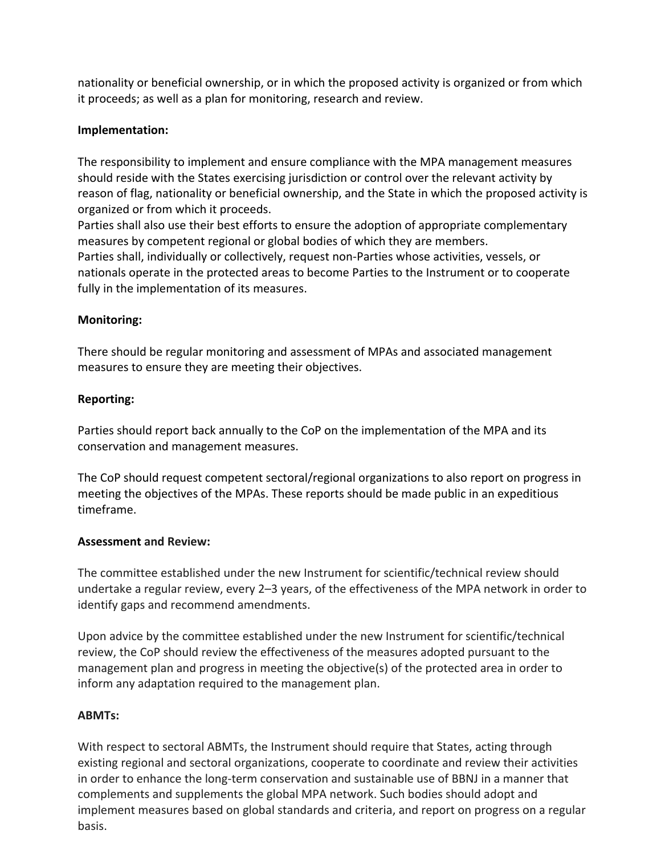nationality or beneficial ownership, or in which the proposed activity is organized or from which it proceeds; as well as a plan for monitoring, research and review.

### **Implementation:**

The responsibility to implement and ensure compliance with the MPA management measures should reside with the States exercising jurisdiction or control over the relevant activity by reason of flag, nationality or beneficial ownership, and the State in which the proposed activity is organized or from which it proceeds.

Parties shall also use their best efforts to ensure the adoption of appropriate complementary measures by competent regional or global bodies of which they are members.

Parties shall, individually or collectively, request non-Parties whose activities, vessels, or nationals operate in the protected areas to become Parties to the Instrument or to cooperate fully in the implementation of its measures.

#### **Monitoring:**

There should be regular monitoring and assessment of MPAs and associated management measures to ensure they are meeting their objectives.

#### **Reporting:**

Parties should report back annually to the CoP on the implementation of the MPA and its conservation and management measures.

The CoP should request competent sectoral/regional organizations to also report on progress in meeting the objectives of the MPAs. These reports should be made public in an expeditious timeframe.

#### **Assessment and Review:**

The committee established under the new Instrument for scientific/technical review should undertake a regular review, every 2–3 years, of the effectiveness of the MPA network in order to identify gaps and recommend amendments.

Upon advice by the committee established under the new Instrument for scientific/technical review, the CoP should review the effectiveness of the measures adopted pursuant to the management plan and progress in meeting the objective(s) of the protected area in order to inform any adaptation required to the management plan.

## **ABMTs:**

With respect to sectoral ABMTs, the Instrument should require that States, acting through existing regional and sectoral organizations, cooperate to coordinate and review their activities in order to enhance the long-term conservation and sustainable use of BBNJ in a manner that complements and supplements the global MPA network. Such bodies should adopt and implement measures based on global standards and criteria, and report on progress on a regular basis.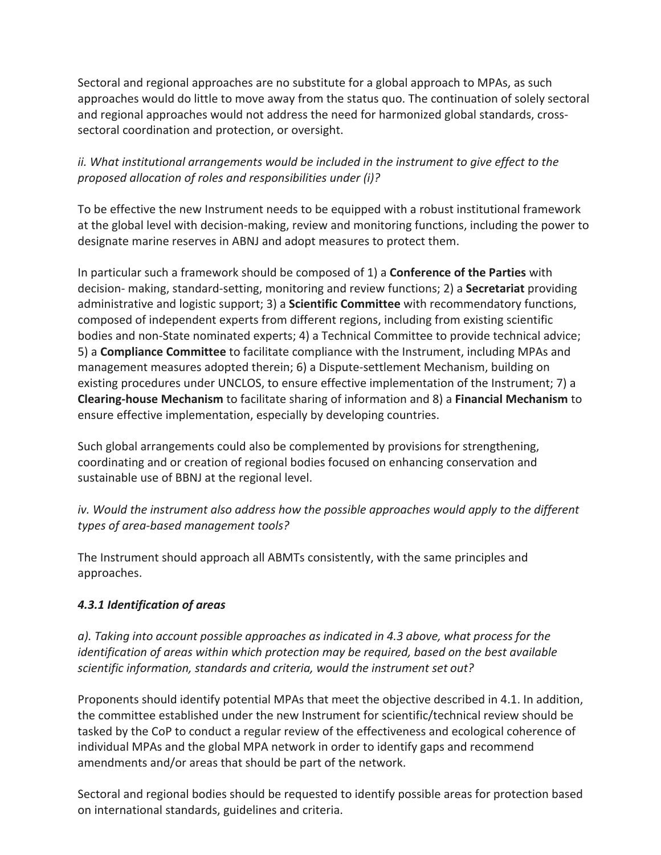Sectoral and regional approaches are no substitute for a global approach to MPAs, as such approaches would do little to move away from the status quo. The continuation of solely sectoral and regional approaches would not address the need for harmonized global standards, crosssectoral coordination and protection, or oversight.

## *ii.* What institutional arrangements would be included in the instrument to give effect to the *proposed allocation of roles and responsibilities under (i)?*

To be effective the new Instrument needs to be equipped with a robust institutional framework at the global level with decision-making, review and monitoring functions, including the power to designate marine reserves in ABNJ and adopt measures to protect them.

In particular such a framework should be composed of 1) a **Conference of the Parties** with decision- making, standard-setting, monitoring and review functions; 2) a **Secretariat** providing administrative and logistic support; 3) a **Scientific Committee** with recommendatory functions, composed of independent experts from different regions, including from existing scientific bodies and non-State nominated experts; 4) a Technical Committee to provide technical advice; 5) a **Compliance Committee** to facilitate compliance with the Instrument, including MPAs and management measures adopted therein; 6) a Dispute-settlement Mechanism, building on existing procedures under UNCLOS, to ensure effective implementation of the Instrument; 7) a **Clearing-house Mechanism** to facilitate sharing of information and 8) a **Financial Mechanism** to ensure effective implementation, especially by developing countries.

Such global arrangements could also be complemented by provisions for strengthening, coordinating and or creation of regional bodies focused on enhancing conservation and sustainable use of BBNJ at the regional level.

*iv.* Would the instrument also address how the possible approaches would apply to the different *types of area-based management tools?*

The Instrument should approach all ABMTs consistently, with the same principles and approaches.

## *4.3.1 Identification of areas*

*a). Taking into account possible approaches as indicated in 4.3 above, what process for the identification* of areas within which protection may be required, based on the best available scientific information, standards and criteria, would the instrument set out?

Proponents should identify potential MPAs that meet the objective described in 4.1. In addition, the committee established under the new Instrument for scientific/technical review should be tasked by the CoP to conduct a regular review of the effectiveness and ecological coherence of individual MPAs and the global MPA network in order to identify gaps and recommend amendments and/or areas that should be part of the network.

Sectoral and regional bodies should be requested to identify possible areas for protection based on international standards, guidelines and criteria.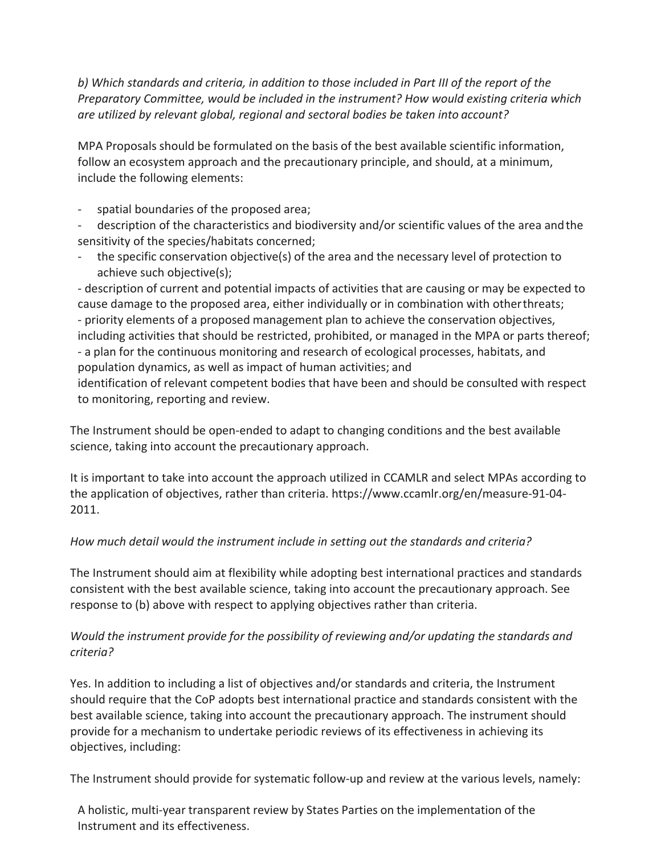b) Which standards and criteria, in addition to those included in Part III of the report of the *Preparatory Committee, would be included in the instrument?* How would existing criteria which *are utilized by relevant global, regional and sectoral bodies be taken into account?* 

MPA Proposals should be formulated on the basis of the best available scientific information, follow an ecosystem approach and the precautionary principle, and should, at a minimum, include the following elements:

- spatial boundaries of the proposed area;
- description of the characteristics and biodiversity and/or scientific values of the area and the sensitivity of the species/habitats concerned;
- the specific conservation objective(s) of the area and the necessary level of protection to achieve such objective(s);

- description of current and potential impacts of activities that are causing or may be expected to cause damage to the proposed area, either individually or in combination with other threats; - priority elements of a proposed management plan to achieve the conservation objectives, including activities that should be restricted, prohibited, or managed in the MPA or parts thereof; - a plan for the continuous monitoring and research of ecological processes, habitats, and population dynamics, as well as impact of human activities; and

identification of relevant competent bodies that have been and should be consulted with respect to monitoring, reporting and review.

The Instrument should be open-ended to adapt to changing conditions and the best available science, taking into account the precautionary approach.

It is important to take into account the approach utilized in CCAMLR and select MPAs according to the application of objectives, rather than criteria. https://www.ccamlr.org/en/measure-91-04-2011.

# How much detail would the instrument include in setting out the standards and criteria?

The Instrument should aim at flexibility while adopting best international practices and standards consistent with the best available science, taking into account the precautionary approach. See response to (b) above with respect to applying objectives rather than criteria.

## *Would the instrument provide for the possibility of reviewing and/or updating the standards and criteria?*

Yes. In addition to including a list of objectives and/or standards and criteria, the Instrument should require that the CoP adopts best international practice and standards consistent with the best available science, taking into account the precautionary approach. The instrument should provide for a mechanism to undertake periodic reviews of its effectiveness in achieving its objectives, including:

The Instrument should provide for systematic follow-up and review at the various levels, namely:

A holistic, multi-year transparent review by States Parties on the implementation of the Instrument and its effectiveness.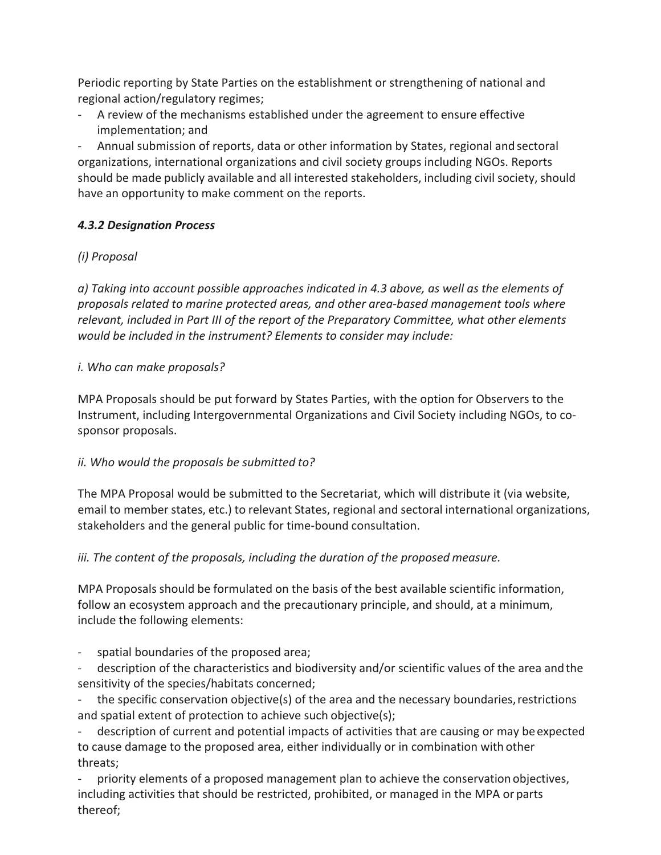Periodic reporting by State Parties on the establishment or strengthening of national and regional action/regulatory regimes;

A review of the mechanisms established under the agreement to ensure effective implementation; and

Annual submission of reports, data or other information by States, regional and sectoral organizations, international organizations and civil society groups including NGOs. Reports should be made publicly available and all interested stakeholders, including civil society, should have an opportunity to make comment on the reports.

## *4.3.2 Designation Process*

# *(i) Proposal*

*a*) Taking into account possible approaches indicated in 4.3 above, as well as the elements of *proposals related to marine protected areas, and other area-based management tools where*  relevant, included in Part III of the report of the Preparatory Committee, what other elements *would be included in the instrument? Elements to consider may include:* 

## *i. Who can make proposals?*

MPA Proposals should be put forward by States Parties, with the option for Observers to the Instrument, including Intergovernmental Organizations and Civil Society including NGOs, to cosponsor proposals.

## *ii. Who would the proposals be submitted to?*

The MPA Proposal would be submitted to the Secretariat, which will distribute it (via website, email to member states, etc.) to relevant States, regional and sectoral international organizations, stakeholders and the general public for time-bound consultation.

# *iii.* The content of the proposals, including the duration of the proposed measure.

MPA Proposals should be formulated on the basis of the best available scientific information, follow an ecosystem approach and the precautionary principle, and should, at a minimum, include the following elements:

spatial boundaries of the proposed area;

description of the characteristics and biodiversity and/or scientific values of the area and the sensitivity of the species/habitats concerned;

the specific conservation objective(s) of the area and the necessary boundaries, restrictions and spatial extent of protection to achieve such objective(s);

description of current and potential impacts of activities that are causing or may be expected to cause damage to the proposed area, either individually or in combination with other threats;

priority elements of a proposed management plan to achieve the conservation objectives, including activities that should be restricted, prohibited, or managed in the MPA or parts thereof;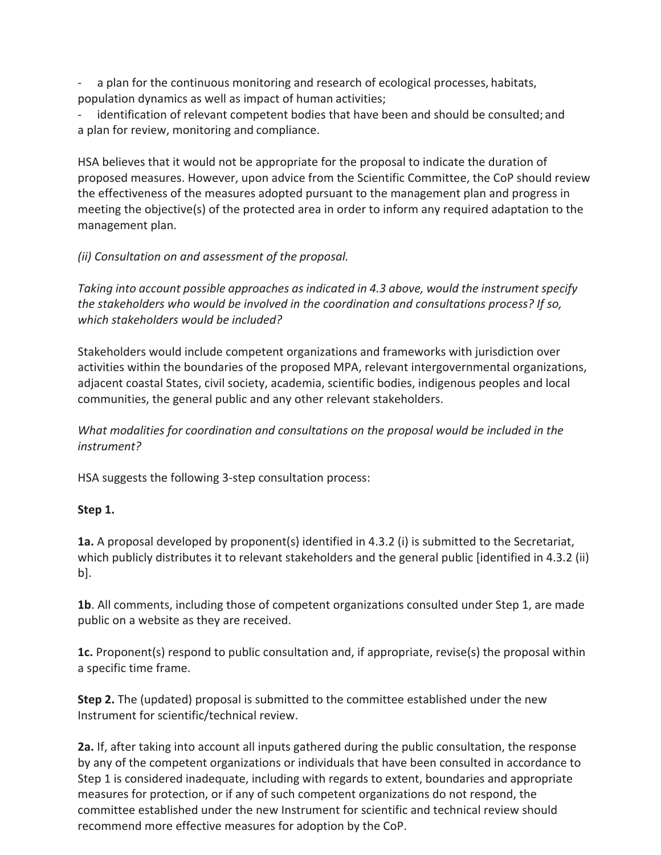a plan for the continuous monitoring and research of ecological processes, habitats, population dynamics as well as impact of human activities;

identification of relevant competent bodies that have been and should be consulted; and a plan for review, monitoring and compliance.

HSA believes that it would not be appropriate for the proposal to indicate the duration of proposed measures. However, upon advice from the Scientific Committee, the CoP should review the effectiveness of the measures adopted pursuant to the management plan and progress in meeting the objective(s) of the protected area in order to inform any required adaptation to the management plan.

## *(ii) Consultation on and assessment of the proposal.*

*Taking into account possible approaches as indicated in 4.3 above, would the instrument specify the stakeholders who would be involved in the coordination and consultations process? If so, which stakeholders would be included?*

Stakeholders would include competent organizations and frameworks with jurisdiction over activities within the boundaries of the proposed MPA, relevant intergovernmental organizations, adjacent coastal States, civil society, academia, scientific bodies, indigenous peoples and local communities, the general public and any other relevant stakeholders.

*What modalities for coordination and consultations on the proposal would be included in the instrument?*

HSA suggests the following 3-step consultation process:

## **Step 1.**

**1a.** A proposal developed by proponent(s) identified in 4.3.2 (i) is submitted to the Secretariat, which publicly distributes it to relevant stakeholders and the general public [identified in 4.3.2 (ii) b].

**1b**. All comments, including those of competent organizations consulted under Step 1, are made public on a website as they are received.

**1c.** Proponent(s) respond to public consultation and, if appropriate, revise(s) the proposal within a specific time frame.

**Step 2.** The (updated) proposal is submitted to the committee established under the new Instrument for scientific/technical review.

**2a.** If, after taking into account all inputs gathered during the public consultation, the response by any of the competent organizations or individuals that have been consulted in accordance to Step 1 is considered inadequate, including with regards to extent, boundaries and appropriate measures for protection, or if any of such competent organizations do not respond, the committee established under the new Instrument for scientific and technical review should recommend more effective measures for adoption by the CoP.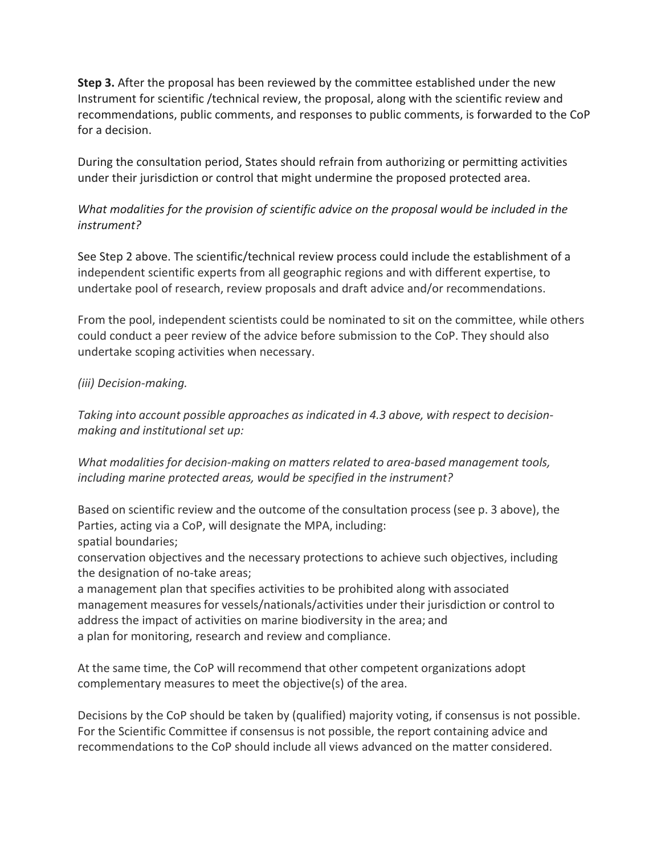**Step 3.** After the proposal has been reviewed by the committee established under the new Instrument for scientific /technical review, the proposal, along with the scientific review and recommendations, public comments, and responses to public comments, is forwarded to the CoP for a decision.

During the consultation period, States should refrain from authorizing or permitting activities under their jurisdiction or control that might undermine the proposed protected area.

## *What modalities for the provision of scientific advice on the proposal would be included in the instrument?*

See Step 2 above. The scientific/technical review process could include the establishment of a independent scientific experts from all geographic regions and with different expertise, to undertake pool of research, review proposals and draft advice and/or recommendations.

From the pool, independent scientists could be nominated to sit on the committee, while others could conduct a peer review of the advice before submission to the CoP. They should also undertake scoping activities when necessary.

## *(iii) Decision-making.*

*Taking into account possible approaches as indicated in 4.3 above, with respect to decisionmaking and institutional set up:*

*What modalities for decision-making on matters related to area-based management tools,* including marine protected areas, would be specified in the instrument?

Based on scientific review and the outcome of the consultation process (see p. 3 above), the Parties, acting via a CoP, will designate the MPA, including: spatial boundaries;

conservation objectives and the necessary protections to achieve such objectives, including the designation of no-take areas;

a management plan that specifies activities to be prohibited along with associated management measures for vessels/nationals/activities under their jurisdiction or control to address the impact of activities on marine biodiversity in the area; and a plan for monitoring, research and review and compliance.

At the same time, the CoP will recommend that other competent organizations adopt complementary measures to meet the objective(s) of the area.

Decisions by the CoP should be taken by (qualified) majority voting, if consensus is not possible. For the Scientific Committee if consensus is not possible, the report containing advice and recommendations to the CoP should include all views advanced on the matter considered.